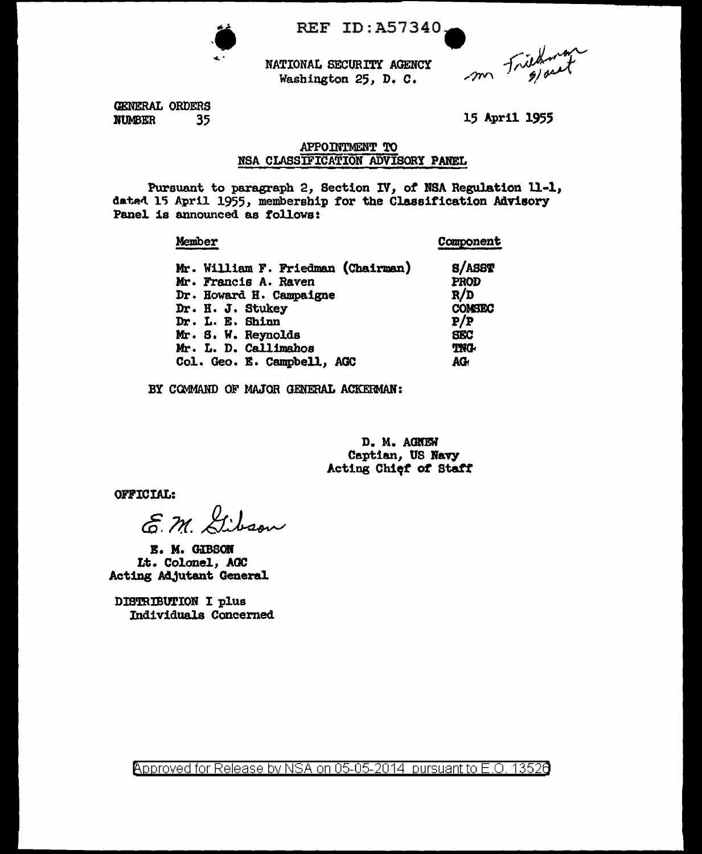

REF ID: A57340.

m Friedman

NATIONAL SECURITY AGENCY Washington 25, D. C.

GENERAL ORDERS **NUMBER** 35

15 April 1955

# APPOINTMENT TO NSA CLASSIFICATION ADVISORY PANEL

Pursuant to paragraph 2, Section IV, of NSA Regulation 11-1, dated 15 April 1955, membership for the Classification Advisory Panel is announced as follows:

#### Member Component Mr. William F. Friedman (Chairman) **8/ASST** Mr. Francis A. Raven **PROD** Dr. Howard H. Campaigne  $R/D$ Dr. H. J. Stukey **COMSEC** Dr. L. E. Shinn  $P/P$ Mr. S. W. Reynolds **SEC** Mr. L. D. Callimahos **TNG-**Col. Geo. E. Campbell, AGC AG

BY COMMAND OF MAJOR GENERAL ACKERMAN:

D. M. AGNEW Captian, US Navy Acting Chief of Staff

**OFFICIAL:** 

E.M. Gibson

E. M. GIBSON Lt. Colonel, AGC Acting Adjutant General

DISTRIBUTION I plus Individuals Concerned

<u> Approved for Release by NSA on 05-05-2014 pursuant to E.O. 13526</u>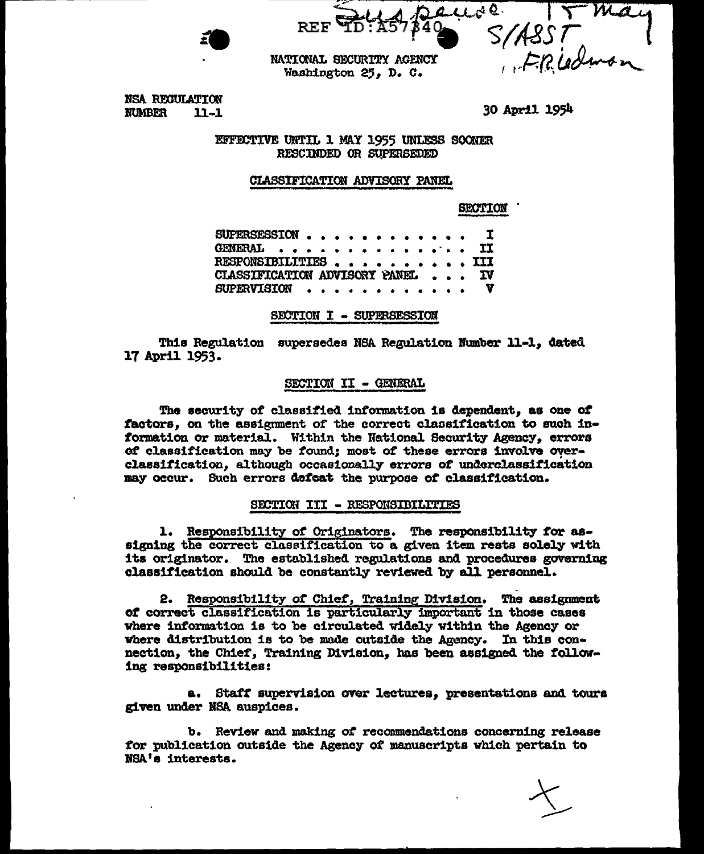$442$ S/ASST<br>S/ASST<br>FRIedman NATIONAL SECURITY AGENCY

Washington 25. D. C.

30 April 1954

NSA REGULATION **NUMBER**  $11 - 1$ 

> EFFECTIVE UNTIL 1 MAY 1955 UNLESS SOONER RESCIMDED OR SUPERSEDED

# CLASSIFICATION ADVISORY PANEL

**SECTION** 

SUPERSESSION . .  $\mathbf r$ **GENERAL** ΙI  $\sim$   $\sim$ **III** RESPONSIBILITIES . . . CLASSIFICATION ADVISORY PANEL **IV** SUPERVISION . . . . . . . .

# SECTION I - SUPERSESSION

This Regulation supersedes NSA Regulation Number 11-1. dated 17 April 1953.

# SECTION II - GENERAL

The security of classified information is dependent, as one of factors, on the assignment of the correct classification to such information or material. Within the National Security Agency, errors of classification may be found; most of these errors involve overclassification, although occasionally errors of underclassification may occur. Such errors defeat the purpose of classification.

# SECTION III - RESPONSIBILITIES

1. Responsibility of Originators. The responsibility for assigning the correct classification to a given item rests solely with its originator. The established regulations and procedures governing classification should be constantly reviewed by all personnel.

2. Responsibility of Chief, Training Division. The assignment of correct classification is particularly important in those cases where information is to be circulated widely within the Agency or where distribution is to be made outside the Agency. In this connection, the Chief, Training Division, has been assigned the following responsibilities:

a. Staff supervision over lectures, presentations and tours given under NSA auspices.

b. Review and making of recommendations concerning release for publication outside the Agency of manuscripts which pertain to NSA's interests.